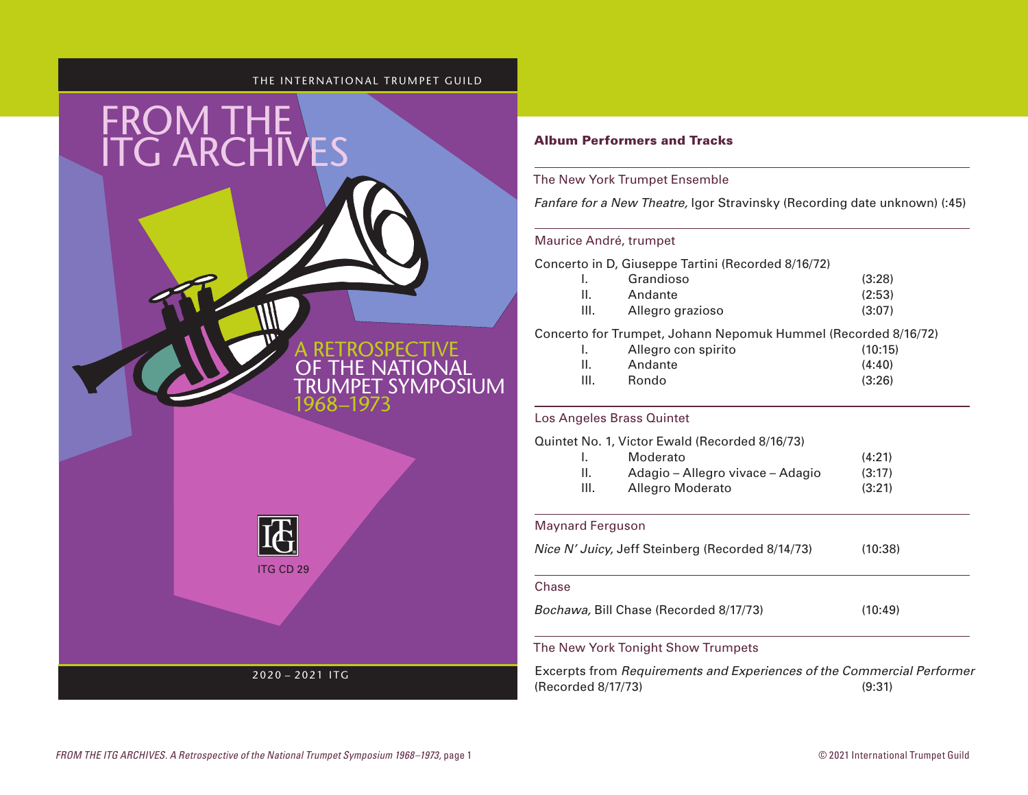### THE INTERNATIONAL TRUMPET GUILD



### Album Performers and Tracks

## The New York Trumpet Ensemble

*Fanfare for a New Theatre,* Igor Stravinsky (Recording date unknown) (:45)

### Maurice André, trumpet

Concerto in D, Giuseppe Tartini (Recorded 8/16/72)

|      | Grandioso        | (3:28) |
|------|------------------|--------|
|      | Andante          | (2:53) |
| III. | Allegro grazioso | (3:07) |

Concerto for Trumpet, Johann Nepomuk Hummel (Recorded 8/16/72)

|      | Allegro con spirito | (10:15) |
|------|---------------------|---------|
| H.   | Andante             | (4:40)  |
| III. | Rondo               | (3:26)  |

# Los Angeles Brass Quintet

Quintet No. 1, Victor Ewald (Recorded 8/16/73) I. Moderato (4:21) II. Adagio – Allegro vivace – Adagio (3:17) III. Allegro Moderato (3:21)

# Maynard Ferguson

*Nice N' Juicy,* Jeff Steinberg (Recorded 8/14/73) (10:38)

#### Chase

*Bochawa,* Bill Chase (Recorded 8/17/73) (10:49)

# The New York Tonight Show Trumpets

Excerpts from *Requirements and Experiences of the Commercial Performer* (Recorded 8/17/73) (9:31)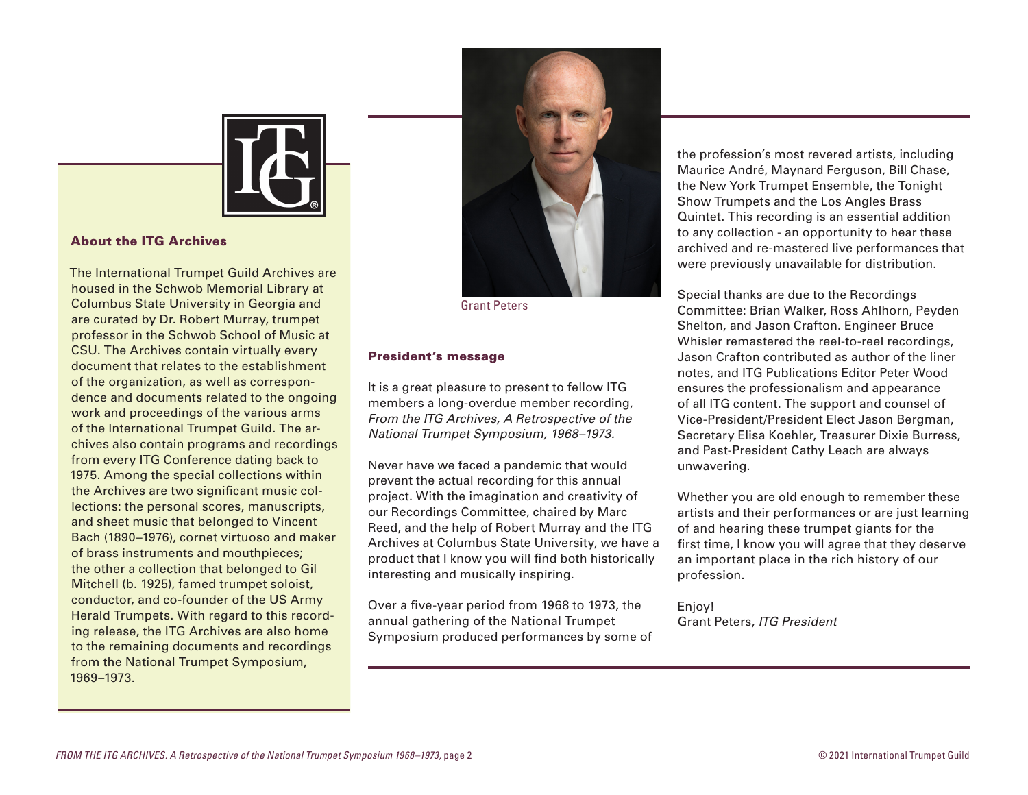

#### About the ITG Archives

The International Trumpet Guild Archives are housed in the Schwob Memorial Library at Columbus State University in Georgia and are curated by Dr. Robert Murray, trumpet professor in the Schwob School of Music at CSU. The Archives contain virtually every document that relates to the establishment of the organization, as well as correspondence and documents related to the ongoing work and proceedings of the various arms of the International Trumpet Guild. The archives also contain programs and recordings from every ITG Conference dating back to 1975. Among the special collections within the Archives are two significant music collections: the personal scores, manuscripts, and sheet music that belonged to Vincent Bach (1890–1976), cornet virtuoso and maker of brass instruments and mouthpieces; the other a collection that belonged to Gil Mitchell (b. 1925), famed trumpet soloist, conductor, and co-founder of the US Army Herald Trumpets. With regard to this recording release, the ITG Archives are also home to the remaining documents and recordings from the National Trumpet Symposium, 1969–1973.



Grant Peters

### President's message

It is a great pleasure to present to fellow ITG members a long-overdue member recording, *From the ITG Archives, A Retrospective of the National Trumpet Symposium, 1968–1973.*

Never have we faced a pandemic that would prevent the actual recording for this annual project. With the imagination and creativity of our Recordings Committee, chaired by Marc Reed, and the help of Robert Murray and the ITG Archives at Columbus State University, we have a product that I know you will find both historically interesting and musically inspiring.

Over a five-year period from 1968 to 1973, the annual gathering of the National Trumpet Symposium produced performances by some of

the profession's most revered artists, including Maurice André, Maynard Ferguson, Bill Chase, the New York Trumpet Ensemble, the Tonight Show Trumpets and the Los Angles Brass Quintet. This recording is an essential addition to any collection - an opportunity to hear these archived and re-mastered live performances that were previously unavailable for distribution.

Special thanks are due to the Recordings Committee: Brian Walker, Ross Ahlhorn, Peyden Shelton, and Jason Crafton. Engineer Bruce Whisler remastered the reel-to-reel recordings, Jason Crafton contributed as author of the liner notes, and ITG Publications Editor Peter Wood ensures the professionalism and appearance of all ITG content. The support and counsel of Vice-President/President Elect Jason Bergman, Secretary Elisa Koehler, Treasurer Dixie Burress, and Past-President Cathy Leach are always unwavering.

Whether you are old enough to remember these artists and their performances or are just learning of and hearing these trumpet giants for the first time, I know you will agree that they deserve an important place in the rich history of our profession.

Enjoy! Grant Peters, *ITG President*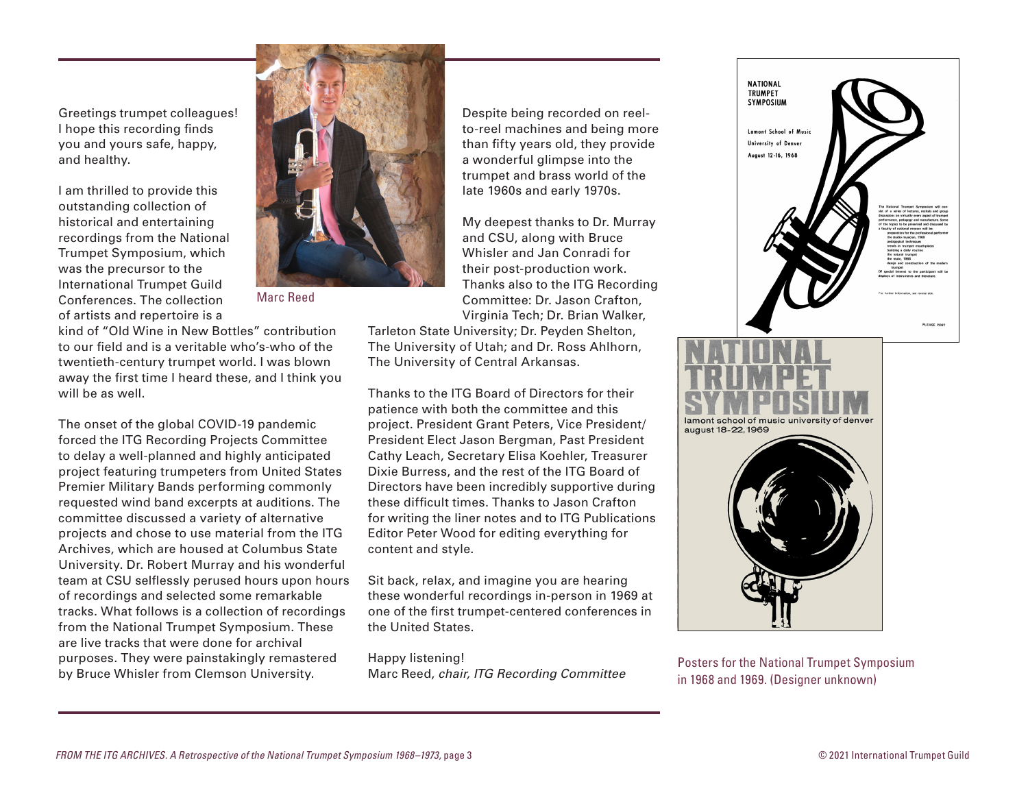Greetings trumpet colleagues! I hope this recording finds you and yours safe, happy, and healthy.

I am thrilled to provide this outstanding collection of historical and entertaining recordings from the National Trumpet Symposium, which was the precursor to the International Trumpet Guild Conferences. The collection of artists and repertoire is a



Marc Reed

kind of "Old Wine in New Bottles" contribution to our field and is a veritable who's-who of the twentieth-century trumpet world. I was blown away the first time I heard these, and I think you will be as well.

The onset of the global COVID-19 pandemic forced the ITG Recording Projects Committee to delay a well-planned and highly anticipated project featuring trumpeters from United States Premier Military Bands performing commonly requested wind band excerpts at auditions. The committee discussed a variety of alternative projects and chose to use material from the ITG Archives, which are housed at Columbus State University. Dr. Robert Murray and his wonderful team at CSU selflessly perused hours upon hours of recordings and selected some remarkable tracks. What follows is a collection of recordings from the National Trumpet Symposium. These are live tracks that were done for archival purposes. They were painstakingly remastered by Bruce Whisler from Clemson University.

Despite being recorded on reelto-reel machines and being more than fifty years old, they provide a wonderful glimpse into the trumpet and brass world of the late 1960s and early 1970s.

My deepest thanks to Dr. Murray and CSU, along with Bruce Whisler and Jan Conradi for their post-production work. Thanks also to the ITG Recording Committee: Dr. Jason Crafton, Virginia Tech; Dr. Brian Walker,

Tarleton State University; Dr. Peyden Shelton, The University of Utah; and Dr. Ross Ahlhorn, The University of Central Arkansas.

Thanks to the ITG Board of Directors for their patience with both the committee and this project. President Grant Peters, Vice President/ President Elect Jason Bergman, Past President Cathy Leach, Secretary Elisa Koehler, Treasurer Dixie Burress, and the rest of the ITG Board of Directors have been incredibly supportive during these difficult times. Thanks to Jason Crafton for writing the liner notes and to ITG Publications Editor Peter Wood for editing everything for content and style.

Sit back, relax, and imagine you are hearing these wonderful recordings in-person in 1969 at one of the first trumpet-centered conferences in the United States.

Happy listening! Marc Reed, *chair, ITG Recording Committee* Posters for the National Trumpet Symposium



in 1968 and 1969. (Designer unknown)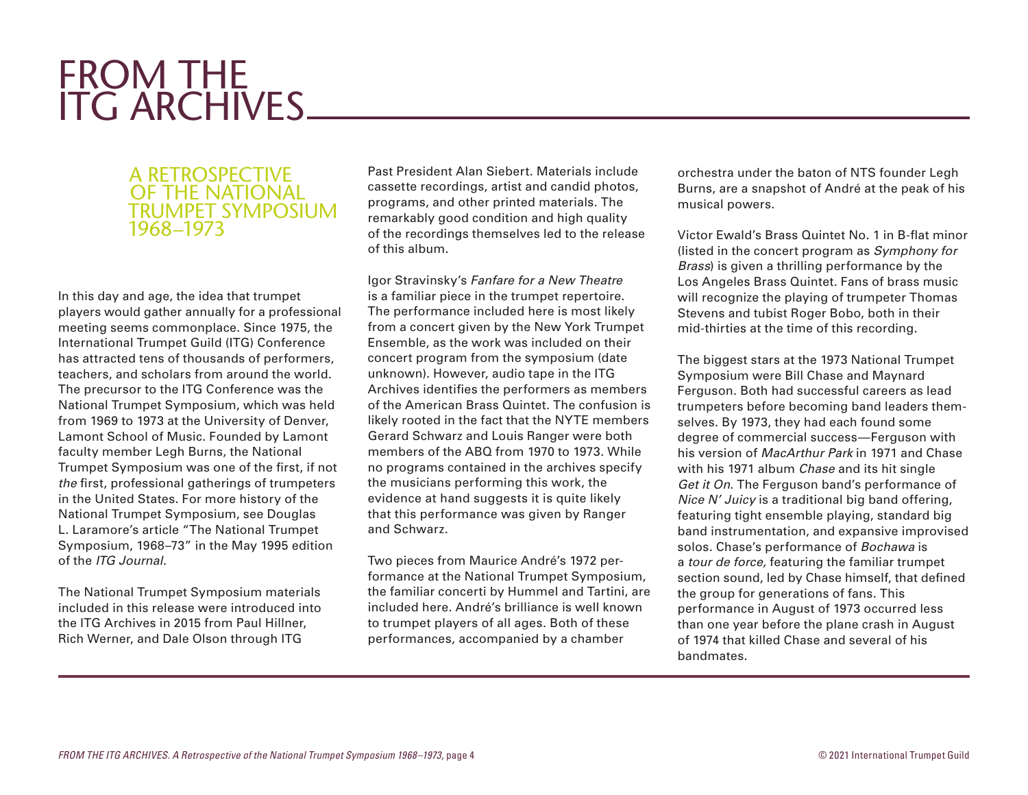# FROM THE ITG ARCHIVES

# A RETROSPECTIVE OF THE NATIONAL TRUMPET SYMPOSIUM 1968–1973

In this day and age, the idea that trumpet players would gather annually for a professional meeting seems commonplace. Since 1975, the International Trumpet Guild (ITG) Conference has attracted tens of thousands of performers, teachers, and scholars from around the world. The precursor to the ITG Conference was the National Trumpet Symposium, which was held from 1969 to 1973 at the University of Denver, Lamont School of Music. Founded by Lamont faculty member Legh Burns, the National Trumpet Symposium was one of the first, if not *the* first, professional gatherings of trumpeters in the United States. For more history of the National Trumpet Symposium, see Douglas L. Laramore's article "The National Trumpet Symposium, 1968–73" in the May 1995 edition of the *ITG Journal.*

The National Trumpet Symposium materials included in this release were introduced into the ITG Archives in 2015 from Paul Hillner, Rich Werner, and Dale Olson through ITG

Past President Alan Siebert. Materials include cassette recordings, artist and candid photos, programs, and other printed materials. The remarkably good condition and high quality of the recordings themselves led to the release of this album.

Igor Stravinsky's *Fanfare for a New Theatre*  is a familiar piece in the trumpet repertoire. The performance included here is most likely from a concert given by the New York Trumpet Ensemble, as the work was included on their concert program from the symposium (date unknown). However, audio tape in the ITG Archives identifies the performers as members of the American Brass Quintet. The confusion is likely rooted in the fact that the NYTE members Gerard Schwarz and Louis Ranger were both members of the ABQ from 1970 to 1973. While no programs contained in the archives specify the musicians performing this work, the evidence at hand suggests it is quite likely that this performance was given by Ranger and Schwarz.

Two pieces from Maurice André's 1972 performance at the National Trumpet Symposium, the familiar concerti by Hummel and Tartini, are included here. André's brilliance is well known to trumpet players of all ages. Both of these performances, accompanied by a chamber

orchestra under the baton of NTS founder Legh Burns, are a snapshot of André at the peak of his musical powers.

Victor Ewald's Brass Quintet No. 1 in B-flat minor (listed in the concert program as *Symphony for Brass*) is given a thrilling performance by the Los Angeles Brass Quintet. Fans of brass music will recognize the playing of trumpeter Thomas Stevens and tubist Roger Bobo, both in their mid-thirties at the time of this recording.

The biggest stars at the 1973 National Trumpet Symposium were Bill Chase and Maynard Ferguson. Both had successful careers as lead trumpeters before becoming band leaders themselves. By 1973, they had each found some degree of commercial success—Ferguson with his version of *MacArthur Park* in 1971 and Chase with his 1971 album *Chase* and its hit single *Get it On*. The Ferguson band's performance of *Nice N' Juicy* is a traditional big band offering, featuring tight ensemble playing, standard big band instrumentation, and expansive improvised solos. Chase's performance of *Bochawa* is a *tour de force,* featuring the familiar trumpet section sound, led by Chase himself, that defined the group for generations of fans. This performance in August of 1973 occurred less than one year before the plane crash in August of 1974 that killed Chase and several of his bandmates.